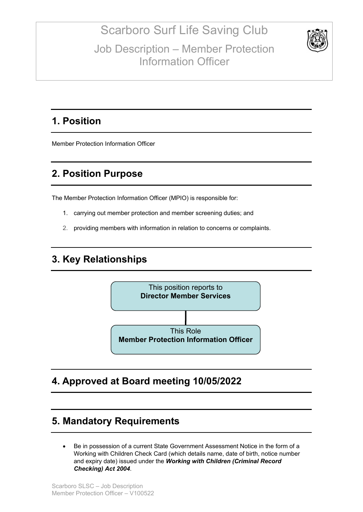Scarboro Surf Life Saving Club Job Description – Member Protection Information Officer



### **1. Position**

Member Protection Information Officer

## **2. Position Purpose**

The Member Protection Information Officer (MPIO) is responsible for:

- 1. carrying out member protection and member screening duties; and
- 2. providing members with information in relation to concerns or complaints.

### **3. Key Relationships**



#### **4. Approved at Board meeting 10/05/2022**

### **5. Mandatory Requirements**

• Be in possession of a current State Government Assessment Notice in the form of a Working with Children Check Card (which details name, date of birth, notice number and expiry date) issued under the *Working with Children (Criminal Record Checking) Act 2004*.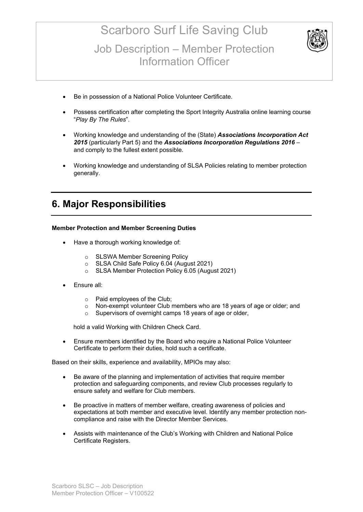# Scarboro Surf Life Saving Club Job Description – Member Protection Information Officer



- Be in possession of a National Police Volunteer Certificate.
- Possess certification after completing the Sport Integrity Australia online learning course "*Play By The Rules*".
- Working knowledge and understanding of the (State) *Associations Incorporation Act 2015* (particularly Part 5) and the *Associations Incorporation Regulations 2016* – and comply to the fullest extent possible.
- Working knowledge and understanding of SLSA Policies relating to member protection generally.

### **6. Major Responsibilities**

#### **Member Protection and Member Screening Duties**

- Have a thorough working knowledge of:
	- o SLSWA Member Screening Policy
	- o SLSA Child Safe Policy 6.04 (August 2021)
	- o SLSA Member Protection Policy 6.05 (August 2021)
- Ensure all:
	- o Paid employees of the Club;
	- o Non-exempt volunteer Club members who are 18 years of age or older; and
	- o Supervisors of overnight camps 18 years of age or older,

hold a valid Working with Children Check Card.

• Ensure members identified by the Board who require a National Police Volunteer Certificate to perform their duties, hold such a certificate.

Based on their skills, experience and availability, MPIOs may also:

- Be aware of the planning and implementation of activities that require member protection and safeguarding components, and review Club processes regularly to ensure safety and welfare for Club members.
- Be proactive in matters of member welfare, creating awareness of policies and expectations at both member and executive level. Identify any member protection noncompliance and raise with the Director Member Services.
- Assists with maintenance of the Club's Working with Children and National Police Certificate Registers.